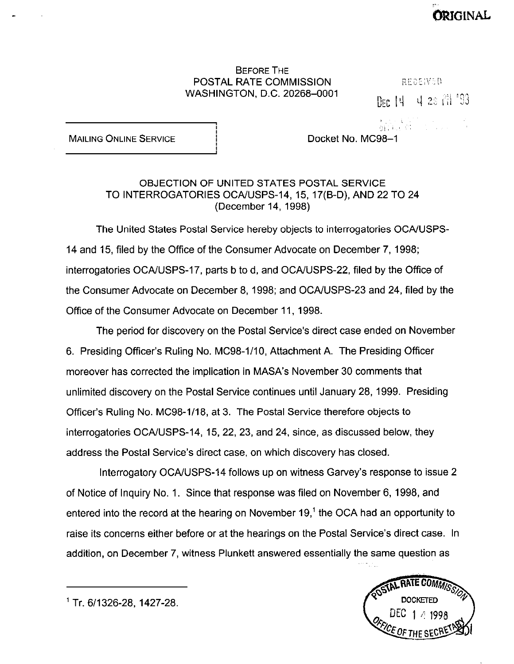## BEFORE THE **POSTAL RATE COMMISSION EXPRESSION REGEIVED** WASHINGTON, D.C. 20268-0001

DEC 14 4 28 71 '93

ORIGINAL

I #l,;( .,I, ::)<br>Od (.H,) :: C,I, :: : : ... .

MAILING ONLINE SERVICE **I** Docket No. MC98-1

## OBJECTION OF UNITED STATES POSTAL SERVICE TO INTERROGATORIES OCA/USPS-14, 15, 17(B-D), AND 22 TO 24 (December 14, 1998)

The United States Postal Service hereby objects to interrogatories OCA/USPS-14 and 15, filed by the Office of the Consumer Advocate on December 7,1998; interrogatories OCA/USPS-17, parts b to d, and OCA/USPS-22, filed by the Office of the Consumer Advocate on December 8, 1998; and OCAIUSPS-23 and 24, filed by the Office of the Consumer Advocate on December 11, 1998.

The period for discovery on the Postal Service's direct case ended on November 6. Presiding Officer's Ruling No. MC98-1110, Attachment A. The Presiding Officer moreover has corrected the implication in MASA's November 30 comments that unlimited discovery on the Postal Service continues until January 28, 1999. Presiding Officer's Ruling No. MC98-l/18, at 3. The Postal Service therefore objects to interrogatories OCA/USPS-14, 15, 22, 23, and 24, since, as discussed below, they address the Postal Service's direct case, on which discovery has closed.

Interrogatory OCA/USPS-14 follows up on witness Garvey's response to issue 2 of Notice of Inquiry No. 1. Since that response was filed on November 6, 1998, and entered into the record at the hearing on November  $19<sup>1</sup>$  the OCA had an opportunity to raise its concerns either before or at the hearings on the Postal Service's direct case. In addition, on December 7, witness Plunkett answered essentially the same question as



<sup>&#</sup>x27; Tr. 611326-28, 1427-28.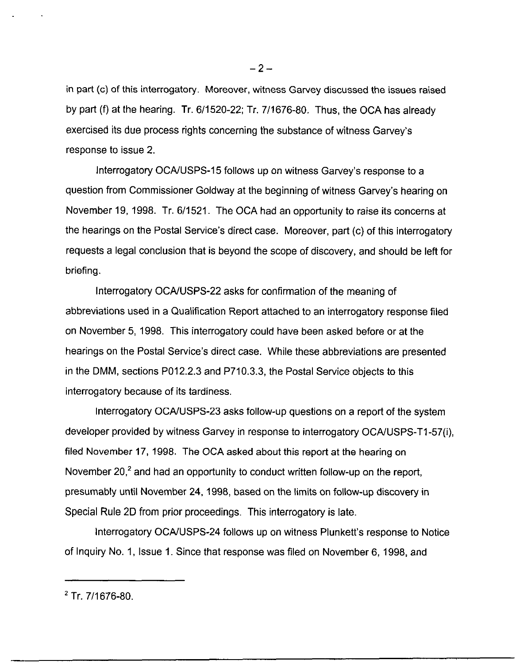in part (c) of this interrogatory. Moreover, witness Garvey discussed the issues raised by part (f) at the hearing. Tr. 6/1520-22; Tr. 7/1676-80. Thus, the OCA has already exercised its due process rights concerning the substance of witness Garvey's response to issue 2.

Interrogatory OCAIUSPS-15 follows up on witness Garvey's response to a question from Commissioner Goldway at the beginning of witness Garvey's hearing on November 19, 1998. Tr. 6/1521. The OCA had an opportunity to raise its concerns at the hearings on the Postal Service's direct case. Moreover, part (c) of this interrogatory requests a legal conclusion that is beyond the scope of discovery, and should be left for briefing.

Interrogatory OCAIUSPS-22 asks for confirmation of the meaning of abbreviations used in a Qualification Report attached to an interrogatory response filed on November 5, 1998. This interrogatory could have been asked before or at the hearings on the Postal Service's direct case. While these abbreviations are presented in the DMM, sections P012.2.3 and P710.3.3, the Postal Service objects to this interrogatory because of its tardiness.

Interrogatory OCA/USPS-23 asks follow-up questions on a report of the system developer provided by witness Garvey in response to interrogatory OCA/USPS-T1-57(i), filed November 17, 1998. The OCA asked about this report at the hearing on November 20,<sup>2</sup> and had an opportunity to conduct written follow-up on the report, presumably until November 24, 1998, based on the limits on follow-up discovery in Special Rule 2D from prior proceedings. This interrogatory is late.

Interrogatory OCAIUSPS-24 follows up on witness Plunkett's response to Notice of Inquiry No. 1, Issue 1. Since that response was filed on November 6, 1998, and

 $2$  Tr. 7/1676-80.

 $-2-$